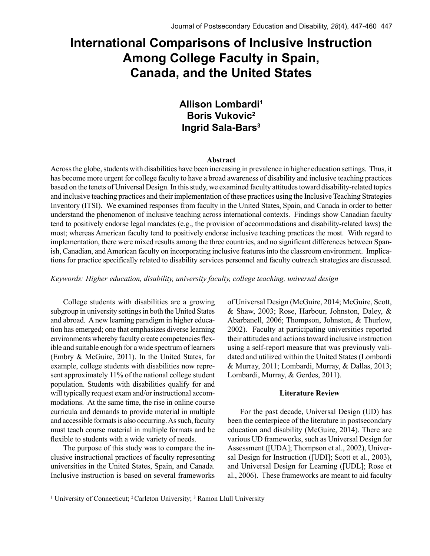# **International Comparisons of Inclusive Instruction Among College Faculty in Spain, Canada, and the United States**

## **Allison Lombardi1 Boris Vukovic2 Ingrid Sala-Bars3**

#### **Abstract**

Across the globe, students with disabilities have been increasing in prevalence in higher education settings. Thus, it has become more urgent for college faculty to have a broad awareness of disability and inclusive teaching practices based on the tenets of Universal Design. In this study, we examined faculty attitudes toward disability-related topics and inclusive teaching practices and their implementation of these practices using the Inclusive Teaching Strategies Inventory (ITSI). We examined responses from faculty in the United States, Spain, and Canada in order to better understand the phenomenon of inclusive teaching across international contexts. Findings show Canadian faculty tend to positively endorse legal mandates (e.g., the provision of accommodations and disability-related laws) the most; whereas American faculty tend to positively endorse inclusive teaching practices the most. With regard to implementation, there were mixed results among the three countries, and no significant differences between Spanish, Canadian, and American faculty on incorporating inclusive features into the classroom environment. Implications for practice specifically related to disability services personnel and faculty outreach strategies are discussed.

*Keywords: Higher education, disability, university faculty, college teaching, universal design*

College students with disabilities are a growing subgroup in university settings in both the United States and abroad. A new learning paradigm in higher education has emerged; one that emphasizes diverse learning environments whereby faculty create competencies flexible and suitable enough for a wide spectrum of learners (Embry & McGuire, 2011). In the United States, for example, college students with disabilities now represent approximately 11% of the national college student population. Students with disabilities qualify for and will typically request exam and/or instructional accommodations. At the same time, the rise in online course curricula and demands to provide material in multiple and accessible formats is also occurring. As such, faculty must teach course material in multiple formats and be flexible to students with a wide variety of needs.

The purpose of this study was to compare the inclusive instructional practices of faculty representing universities in the United States, Spain, and Canada. Inclusive instruction is based on several frameworks of Universal Design (McGuire, 2014; McGuire, Scott, & Shaw, 2003; Rose, Harbour, Johnston, Daley, & Abarbanell, 2006; Thompson, Johnston, & Thurlow, 2002). Faculty at participating universities reported their attitudes and actions toward inclusive instruction using a self-report measure that was previously validated and utilized within the United States (Lombardi & Murray, 2011; Lombardi, Murray, & Dallas, 2013; Lombardi, Murray, & Gerdes, 2011).

#### **Literature Review**

For the past decade, Universal Design (UD) has been the centerpiece of the literature in postsecondary education and disability (McGuire, 2014). There are various UD frameworks, such as Universal Design for Assessment ([UDA]; Thompson et al., 2002), Universal Design for Instruction ([UDI]; Scott et al., 2003), and Universal Design for Learning ([UDL]; Rose et al., 2006). These frameworks are meant to aid faculty

<sup>&</sup>lt;sup>1</sup> University of Connecticut; <sup>2</sup> Carleton University; <sup>3</sup> Ramon Llull University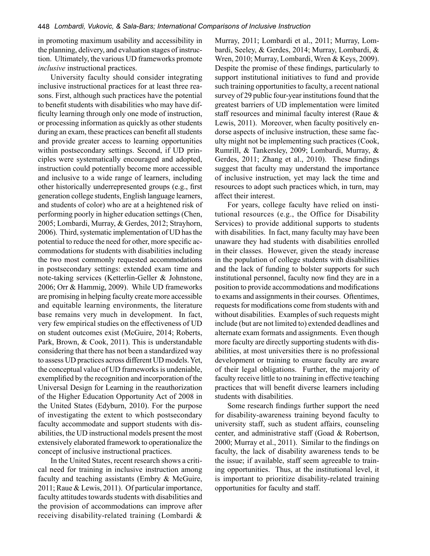in promoting maximum usability and accessibility in the planning, delivery, and evaluation stages of instruction. Ultimately, the various UD frameworks promote *inclusive* instructional practices.

University faculty should consider integrating inclusive instructional practices for at least three reasons. First, although such practices have the potential to benefit students with disabilities who may have difficulty learning through only one mode of instruction, or processing information as quickly as other students during an exam, these practices can benefit all students and provide greater access to learning opportunities within postsecondary settings. Second, if UD principles were systematically encouraged and adopted, instruction could potentially become more accessible and inclusive to a wide range of learners, including other historically underrepresented groups (e.g., first generation college students, English language learners, and students of color) who are at a heightened risk of performing poorly in higher education settings (Chen, 2005; Lombardi, Murray, & Gerdes, 2012; Strayhorn, 2006). Third, systematic implementation of UD has the potential to reduce the need for other, more specific accommodations for students with disabilities including the two most commonly requested accommodations in postsecondary settings: extended exam time and note-taking services (Ketterlin-Geller & Johnstone, 2006; Orr & Hammig, 2009). While UD frameworks are promising in helping faculty create more accessible and equitable learning environments, the literature base remains very much in development. In fact, very few empirical studies on the effectiveness of UD on student outcomes exist (McGuire, 2014; Roberts, Park, Brown, & Cook, 2011). This is understandable considering that there has not been a standardized way to assess UD practices across different UD models. Yet, the conceptual value of UD frameworks is undeniable, exemplified by the recognition and incorporation of the Universal Design for Learning in the reauthorization of the Higher Education Opportunity Act of 2008 in the United States (Edyburn, 2010). For the purpose of investigating the extent to which postsecondary faculty accommodate and support students with disabilities, the UD instructional models present the most extensively elaborated framework to operationalize the concept of inclusive instructional practices.

In the United States, recent research shows a critical need for training in inclusive instruction among faculty and teaching assistants (Embry & McGuire, 2011; Raue & Lewis, 2011). Of particular importance, faculty attitudes towards students with disabilities and the provision of accommodations can improve after receiving disability-related training (Lombardi &

Murray, 2011; Lombardi et al., 2011; Murray, Lombardi, Seeley, & Gerdes, 2014; Murray, Lombardi, & Wren, 2010; Murray, Lombardi, Wren & Keys, 2009). Despite the promise of these findings, particularly to support institutional initiatives to fund and provide such training opportunities to faculty, a recent national survey of 29 public four-year institutions found that the greatest barriers of UD implementation were limited staff resources and minimal faculty interest (Raue & Lewis, 2011). Moreover, when faculty positively endorse aspects of inclusive instruction, these same faculty might not be implementing such practices (Cook, Rumrill, & Tankersley, 2009; Lombardi, Murray, & Gerdes, 2011; Zhang et al., 2010). These findings suggest that faculty may understand the importance of inclusive instruction, yet may lack the time and resources to adopt such practices which, in turn, may affect their interest.

For years, college faculty have relied on institutional resources (e.g., the Office for Disability Services) to provide additional supports to students with disabilities. In fact, many faculty may have been unaware they had students with disabilities enrolled in their classes. However, given the steady increase in the population of college students with disabilities and the lack of funding to bolster supports for such institutional personnel, faculty now find they are in a position to provide accommodations and modifications to exams and assignments in their courses. Oftentimes, requests for modifications come from students with and without disabilities. Examples of such requests might include (but are not limited to) extended deadlines and alternate exam formats and assignments. Even though more faculty are directly supporting students with disabilities, at most universities there is no professional development or training to ensure faculty are aware of their legal obligations. Further, the majority of faculty receive little to no training in effective teaching practices that will benefit diverse learners including students with disabilities.

Some research findings further support the need for disability-awareness training beyond faculty to university staff, such as student affairs, counseling center, and administrative staff (Goad & Robertson, 2000; Murray et al., 2011). Similar to the findings on faculty, the lack of disability awareness tends to be the issue; if available, staff seem agreeable to training opportunities. Thus, at the institutional level, it is important to prioritize disability-related training opportunities for faculty and staff.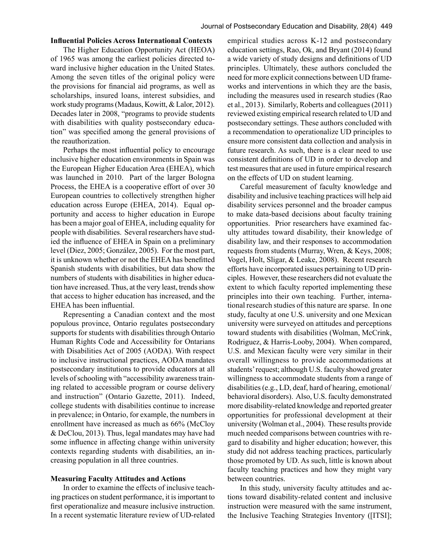#### **Influential Policies Across International Contexts**

The Higher Education Opportunity Act (HEOA) of 1965 was among the earliest policies directed toward inclusive higher education in the United States. Among the seven titles of the original policy were the provisions for financial aid programs, as well as scholarships, insured loans, interest subsidies, and work study programs (Madaus, Kowitt, & Lalor, 2012). Decades later in 2008, "programs to provide students with disabilities with quality postsecondary education" was specified among the general provisions of the reauthorization.

Perhaps the most influential policy to encourage inclusive higher education environments in Spain was the European Higher Education Area (EHEA), which was launched in 2010. Part of the larger Bologna Process, the EHEA is a cooperative effort of over 30 European countries to collectively strengthen higher education across Europe (EHEA, 2014). Equal opportunity and access to higher education in Europe has been a major goal of EHEA, including equality for people with disabilities. Several researchers have studied the influence of EHEA in Spain on a preliminary level (Diez, 2005; González, 2005). For the most part, it is unknown whether or not the EHEA has benefitted Spanish students with disabilities, but data show the numbers of students with disabilities in higher education have increased. Thus, at the very least, trends show that access to higher education has increased, and the EHEA has been influential.

Representing a Canadian context and the most populous province, Ontario regulates postsecondary supports for students with disabilities through Ontario Human Rights Code and Accessibility for Ontarians with Disabilities Act of 2005 (AODA). With respect to inclusive instructional practices, AODA mandates postsecondary institutions to provide educators at all levels of schooling with "accessibility awareness training related to accessible program or course delivery and instruction" (Ontario Gazette, 2011). Indeed, college students with disabilities continue to increase in prevalence; in Ontario, for example, the numbers in enrollment have increased as much as 66% (McCloy & DeClou, 2013). Thus, legal mandates may have had some influence in affecting change within university contexts regarding students with disabilities, an increasing population in all three countries.

#### **Measuring Faculty Attitudes and Actions**

In order to examine the effects of inclusive teaching practices on student performance, it is important to first operationalize and measure inclusive instruction. In a recent systematic literature review of UD-related empirical studies across K-12 and postsecondary education settings, Rao, Ok, and Bryant (2014) found a wide variety of study designs and definitions of UD principles. Ultimately, these authors concluded the need for more explicit connections between UD frameworks and interventions in which they are the basis, including the measures used in research studies (Rao et al., 2013). Similarly, Roberts and colleagues (2011) reviewed existing empirical research related to UD and postsecondary settings. These authors concluded with a recommendation to operationalize UD principles to ensure more consistent data collection and analysis in future research. As such, there is a clear need to use consistent definitions of UD in order to develop and test measures that are used in future empirical research on the effects of UD on student learning.

Careful measurement of faculty knowledge and disability and inclusive teaching practices will help aid disability services personnel and the broader campus to make data-based decisions about faculty training opportunities. Prior researchers have examined faculty attitudes toward disability, their knowledge of disability law, and their responses to accommodation requests from students (Murray, Wren, & Keys, 2008; Vogel, Holt, Sligar, & Leake, 2008). Recent research efforts have incorporated issues pertaining to UD principles. However, these researchers did not evaluate the extent to which faculty reported implementing these principles into their own teaching. Further, international research studies of this nature are sparse. In one study, faculty at one U.S. university and one Mexican university were surveyed on attitudes and perceptions toward students with disabilities (Wolman, McCrink, Rodriguez, & Harris-Looby, 2004). When compared, U.S. and Mexican faculty were very similar in their overall willingness to provide accommodations at students' request; although U.S. faculty showed greater willingness to accommodate students from a range of disabilities (e.g., LD, deaf, hard of hearing, emotional/ behavioral disorders). Also, U.S. faculty demonstrated more disability-related knowledge and reported greater opportunities for professional development at their university (Wolman et al., 2004). These results provide much needed comparisons between countries with regard to disability and higher education; however, this study did not address teaching practices, particularly those promoted by UD. As such, little is known about faculty teaching practices and how they might vary between countries.

In this study, university faculty attitudes and actions toward disability-related content and inclusive instruction were measured with the same instrument, the Inclusive Teaching Strategies Inventory ([ITSI];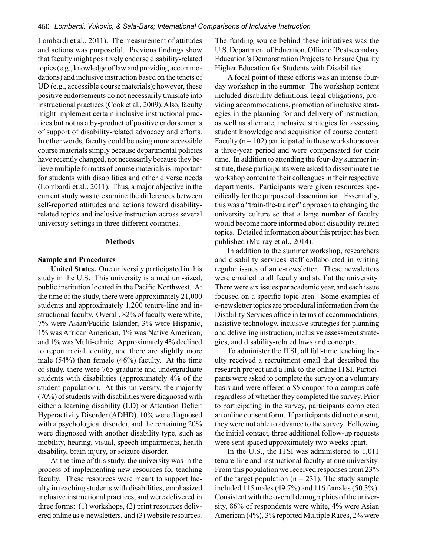Lombardi et al., 2011). The measurement of attitudes and actions was purposeful. Previous findings show that faculty might positively endorse disability-related topics (e.g., knowledge of law and providing accommodations) and inclusive instruction based on the tenets of UD (e.g., accessible course materials); however, these positive endorsements do not necessarily translate into instructional practices (Cook et al., 2009). Also, faculty might implement certain inclusive instructional practices but not as a by-product of positive endorsements of support of disability-related advocacy and efforts. In other words, faculty could be using more accessible course materials simply because departmental policies have recently changed, not necessarily because they believe multiple formats of course materials is important for students with disabilities and other diverse needs (Lombardi et al., 2011). Thus, a major objective in the current study was to examine the differences between self-reported attitudes and actions toward disabilityrelated topics and inclusive instruction across several university settings in three different countries.

#### **Methods**

#### **Sample and Procedures**

**United States.** One university participated in this study in the U.S. This university is a medium-sized, public institution located in the Pacific Northwest. At the time of the study, there were approximately 21,000 students and approximately 1,200 tenure-line and instructional faculty. Overall, 82% of faculty were white, 7% were Asian/Pacific Islander, 3% were Hispanic, 1% was African American, 1% was Native American, and 1% was Multi-ethnic. Approximately 4% declined to report racial identity, and there are slightly more male (54%) than female (46%) faculty. At the time of study, there were 765 graduate and undergraduate students with disabilities (approximately 4% of the student population). At this university, the majority (70%) of students with disabilities were diagnosed with either a learning disability (LD) or Attention Deficit Hyperactivity Disorder (ADHD), 10% were diagnosed with a psychological disorder, and the remaining 20% were diagnosed with another disability type, such as mobility, hearing, visual, speech impairments, health disability, brain injury, or seizure disorder.

At the time of this study, the university was in the process of implementing new resources for teaching faculty. These resources were meant to support faculty in teaching students with disabilities, emphasized inclusive instructional practices, and were delivered in three forms: (1) workshops, (2) print resources delivered online as e-newsletters, and (3) website resources.

The funding source behind these initiatives was the U.S. Department of Education, Office of Postsecondary Education's Demonstration Projects to Ensure Quality Higher Education for Students with Disabilities.

A focal point of these efforts was an intense fourday workshop in the summer. The workshop content included disability definitions, legal obligations, providing accommodations, promotion of inclusive strategies in the planning for and delivery of instruction, as well as alternate, inclusive strategies for assessing student knowledge and acquisition of course content. Faculty ( $n = 102$ ) participated in these workshops over a three-year period and were compensated for their time. In addition to attending the four-day summer institute, these participants were asked to disseminate the workshop content to their colleagues in their respective departments. Participants were given resources specifically for the purpose of dissemination. Essentially, this was a "train-the-trainer" approach to changing the university culture so that a large number of faculty would become more informed about disability-related topics. Detailed information about this project has been published (Murray et al., 2014).

In addition to the summer workshop, researchers and disability services staff collaborated in writing regular issues of an e-newsletter. These newsletters were emailed to all faculty and staff at the university. There were six issues per academic year, and each issue focused on a specific topic area. Some examples of e-newsletter topics are procedural information from the Disability Services office in terms of accommodations, assistive technology, inclusive strategies for planning and delivering instruction, inclusive assessment strategies, and disability-related laws and concepts.

To administer the ITSI, all full-time teaching faculty received a recruitment email that described the research project and a link to the online ITSI. Participants were asked to complete the survey on a voluntary basis and were offered a \$5 coupon to a campus café regardless of whether they completed the survey. Prior to participating in the survey, participants completed an online consent form. If participants did not consent, they were not able to advance to the survey. Following the initial contact, three additional follow-up requests were sent spaced approximately two weeks apart.

In the U.S., the ITSI was administered to 1,011 tenure-line and instructional faculty at one university. From this population we received responses from 23% of the target population  $(n = 231)$ . The study sample included 115 males (49.7%) and 116 females (50.3%). Consistent with the overall demographics of the university, 86% of respondents were white, 4% were Asian American (4%), 3% reported Multiple Races, 2% were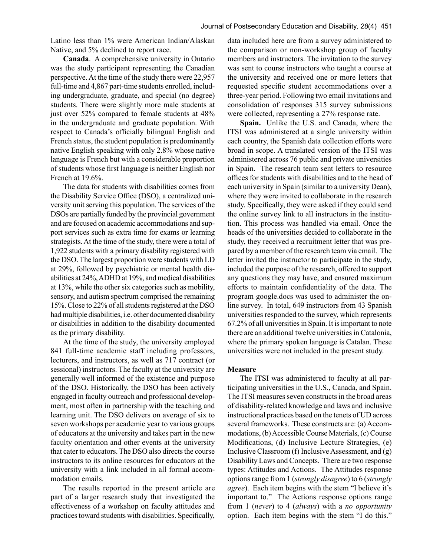Latino less than 1% were American Indian/Alaskan Native, and 5% declined to report race.

**Canada**. A comprehensive university in Ontario was the study participant representing the Canadian perspective. At the time of the study there were 22,957 full-time and 4,867 part-time students enrolled, including undergraduate, graduate, and special (no degree) students. There were slightly more male students at just over 52% compared to female students at 48% in the undergraduate and graduate population. With respect to Canada's officially bilingual English and French status, the student population is predominantly native English speaking with only 2.8% whose native language is French but with a considerable proportion of students whose first language is neither English nor French at 19.6%.

The data for students with disabilities comes from the Disability Service Office (DSO), a centralized university unit serving this population. The services of the DSOs are partially funded by the provincial government and are focused on academic accommodations and support services such as extra time for exams or learning strategists. At the time of the study, there were a total of 1,922 students with a primary disability registered with the DSO. The largest proportion were students with LD at 29%, followed by psychiatric or mental health disabilities at 24%, ADHD at 19%, and medical disabilities at 13%, while the other six categories such as mobility, sensory, and autism spectrum comprised the remaining 15%. Close to 22% of all students registered at the DSO had multiple disabilities, i.e. other documented disability or disabilities in addition to the disability documented as the primary disability.

At the time of the study, the university employed 841 full-time academic staff including professors, lecturers, and instructors, as well as 717 contract (or sessional) instructors. The faculty at the university are generally well informed of the existence and purpose of the DSO. Historically, the DSO has been actively engaged in faculty outreach and professional development, most often in partnership with the teaching and learning unit. The DSO delivers on average of six to seven workshops per academic year to various groups of educators at the university and takes part in the new faculty orientation and other events at the university that cater to educators. The DSO also directs the course instructors to its online resources for educators at the university with a link included in all formal accommodation emails.

The results reported in the present article are part of a larger research study that investigated the effectiveness of a workshop on faculty attitudes and practices toward students with disabilities. Specifically,

data included here are from a survey administered to the comparison or non-workshop group of faculty members and instructors. The invitation to the survey was sent to course instructors who taught a course at the university and received one or more letters that requested specific student accommodations over a three-year period. Following two email invitations and consolidation of responses 315 survey submissions were collected, representing a 27% response rate.

**Spain.** Unlike the U.S. and Canada, where the ITSI was administered at a single university within each country, the Spanish data collection efforts were broad in scope. A translated version of the ITSI was administered across 76 public and private universities in Spain. The research team sent letters to resource offices for students with disabilities and to the head of each university in Spain (similar to a university Dean), where they were invited to collaborate in the research study. Specifically, they were asked if they could send the online survey link to all instructors in the institution. This process was handled via email. Once the heads of the universities decided to collaborate in the study, they received a recruitment letter that was prepared by a member of the research team via email. The letter invited the instructor to participate in the study, included the purpose of the research, offered to support any questions they may have, and ensured maximum efforts to maintain confidentiality of the data. The program google.docs was used to administer the online survey. In total, 649 instructors from 43 Spanish universities responded to the survey, which represents 67.2% of all universities in Spain. It is important to note there are an additional twelve universities in Catalonia, where the primary spoken language is Catalan. These universities were not included in the present study.

#### **Measure**

The ITSI was administered to faculty at all participating universities in the U.S., Canada, and Spain. The ITSI measures seven constructs in the broad areas of disability-related knowledge and laws and inclusive instructional practices based on the tenets of UD across several frameworks. These constructs are: (a) Accommodations, (b) Accessible Course Materials, (c) Course Modifications, (d) Inclusive Lecture Strategies, (e) Inclusive Classroom (f) Inclusive Assessment, and (g) Disability Laws and Concepts. There are two response types: Attitudes and Actions. The Attitudes response options range from 1 (*strongly disagree*) to 6 (*strongly agree*). Each item begins with the stem "I believe it's important to." The Actions response options range from 1 (*never*) to 4 (*always*) with a *no opportunity*  option. Each item begins with the stem "I do this."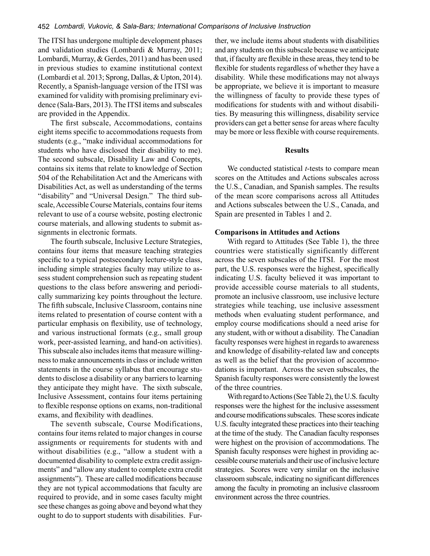The ITSI has undergone multiple development phases and validation studies (Lombardi & Murray, 2011; Lombardi, Murray, & Gerdes, 2011) and has been used in previous studies to examine institutional context (Lombardi et al. 2013; Sprong, Dallas, & Upton, 2014). Recently, a Spanish-language version of the ITSI was examined for validity with promising preliminary evidence (Sala-Bars, 2013). The ITSI items and subscales are provided in the Appendix.

The first subscale, Accommodations, contains eight items specific to accommodations requests from students (e.g., "make individual accommodations for students who have disclosed their disability to me). The second subscale, Disability Law and Concepts, contains six items that relate to knowledge of Section 504 of the Rehabilitation Act and the Americans with Disabilities Act, as well as understanding of the terms "disability" and "Universal Design." The third subscale, Accessible Course Materials, contains four items relevant to use of a course website, posting electronic course materials, and allowing students to submit assignments in electronic formats.

The fourth subscale, Inclusive Lecture Strategies, contains four items that measure teaching strategies specific to a typical postsecondary lecture-style class, including simple strategies faculty may utilize to assess student comprehension such as repeating student questions to the class before answering and periodically summarizing key points throughout the lecture. The fifth subscale, Inclusive Classroom, contains nine items related to presentation of course content with a particular emphasis on flexibility, use of technology, and various instructional formats (e.g., small group work, peer-assisted learning, and hand-on activities). This subscale also includes items that measure willingness to make announcements in class or include written statements in the course syllabus that encourage students to disclose a disability or any barriers to learning they anticipate they might have. The sixth subscale, Inclusive Assessment, contains four items pertaining to flexible response options on exams, non-traditional exams, and flexibility with deadlines.

The seventh subscale, Course Modifications, contains four items related to major changes in course assignments or requirements for students with and without disabilities (e.g., "allow a student with a documented disability to complete extra credit assignments" and "allow any student to complete extra credit assignments"). These are called modifications because they are not typical accommodations that faculty are required to provide, and in some cases faculty might see these changes as going above and beyond what they ought to do to support students with disabilities. Further, we include items about students with disabilities and any students on this subscale because we anticipate that, if faculty are flexible in these areas, they tend to be flexible for students regardless of whether they have a disability. While these modifications may not always be appropriate, we believe it is important to measure the willingness of faculty to provide these types of modifications for students with and without disabilities. By measuring this willingness, disability service providers can get a better sense for areas where faculty may be more or less flexible with course requirements.

#### **Results**

We conducted statistical *t*-tests to compare mean scores on the Attitudes and Actions subscales across the U.S., Canadian, and Spanish samples. The results of the mean score comparisons across all Attitudes and Actions subscales between the U.S., Canada, and Spain are presented in Tables 1 and 2.

#### **Comparisons in Attitudes and Actions**

With regard to Attitudes (See Table 1), the three countries were statistically significantly different across the seven subscales of the ITSI. For the most part, the U.S. responses were the highest, specifically indicating U.S. faculty believed it was important to provide accessible course materials to all students, promote an inclusive classroom, use inclusive lecture strategies while teaching, use inclusive assessment methods when evaluating student performance, and employ course modifications should a need arise for any student, with or without a disability. The Canadian faculty responses were highest in regards to awareness and knowledge of disability-related law and concepts as well as the belief that the provision of accommodations is important. Across the seven subscales, the Spanish faculty responses were consistently the lowest of the three countries.

With regard to Actions (See Table 2), the U.S. faculty responses were the highest for the inclusive assessment and course modifications subscales. These scores indicate U.S. faculty integrated these practices into their teaching at the time of the study. The Canadian faculty responses were highest on the provision of accommodations. The Spanish faculty responses were highest in providing accessible course materials and their use of inclusive lecture strategies. Scores were very similar on the inclusive classroom subscale, indicating no significant differences among the faculty in promoting an inclusive classroom environment across the three countries.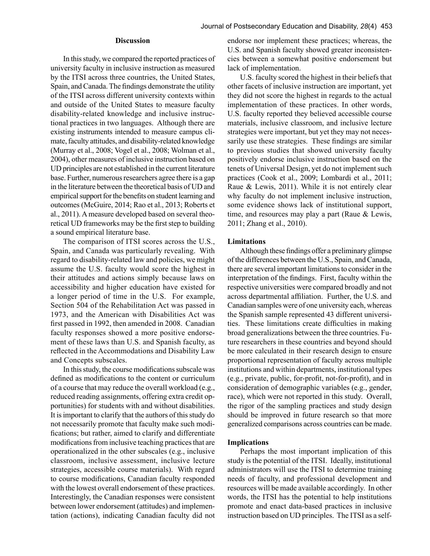#### **Discussion**

In this study, we compared the reported practices of university faculty in inclusive instruction as measured by the ITSI across three countries, the United States, Spain, and Canada. The findings demonstrate the utility of the ITSI across different university contexts within and outside of the United States to measure faculty disability-related knowledge and inclusive instructional practices in two languages. Although there are existing instruments intended to measure campus climate, faculty attitudes, and disability-related knowledge (Murray et al., 2008; Vogel et al., 2008; Wolman et al., 2004), other measures of inclusive instruction based on UD principles are not established in the current literature base. Further, numerous researchers agree there is a gap in the literature between the theoretical basis of UD and empirical support for the benefits on student learning and outcomes (McGuire, 2014; Rao et al., 2013; Roberts et al., 2011). A measure developed based on several theoretical UD frameworks may be the first step to building a sound empirical literature base.

The comparison of ITSI scores across the U.S., Spain, and Canada was particularly revealing. With regard to disability-related law and policies, we might assume the U.S. faculty would score the highest in their attitudes and actions simply because laws on accessibility and higher education have existed for a longer period of time in the U.S. For example, Section 504 of the Rehabilitation Act was passed in 1973, and the American with Disabilities Act was first passed in 1992, then amended in 2008. Canadian faculty responses showed a more positive endorsement of these laws than U.S. and Spanish faculty, as reflected in the Accommodations and Disability Law and Concepts subscales.

In this study, the course modifications subscale was defined as modifications to the content or curriculum of a course that may reduce the overall workload (e.g., reduced reading assignments, offering extra credit opportunities) for students with and without disabilities. It is important to clarify that the authors of this study do not necessarily promote that faculty make such modifications; but rather, aimed to clarify and differentiate modifications from inclusive teaching practices that are operationalized in the other subscales (e.g., inclusive classroom, inclusive assessment, inclusive lecture strategies, accessible course materials). With regard to course modifications, Canadian faculty responded with the lowest overall endorsement of these practices. Interestingly, the Canadian responses were consistent between lower endorsement (attitudes) and implementation (actions), indicating Canadian faculty did not endorse nor implement these practices; whereas, the U.S. and Spanish faculty showed greater inconsistencies between a somewhat positive endorsement but lack of implementation.

U.S. faculty scored the highest in their beliefs that other facets of inclusive instruction are important, yet they did not score the highest in regards to the actual implementation of these practices. In other words, U.S. faculty reported they believed accessible course materials, inclusive classroom, and inclusive lecture strategies were important, but yet they may not necessarily use these strategies. These findings are similar to previous studies that showed university faculty positively endorse inclusive instruction based on the tenets of Universal Design, yet do not implement such practices (Cook et al., 2009; Lombardi et al., 2011; Raue & Lewis, 2011). While it is not entirely clear why faculty do not implement inclusive instruction, some evidence shows lack of institutional support, time, and resources may play a part (Raue & Lewis, 2011; Zhang et al., 2010).

#### **Limitations**

Although these findings offer a preliminary glimpse of the differences between the U.S., Spain, and Canada, there are several important limitations to consider in the interpretation of the findings. First, faculty within the respective universities were compared broadly and not across departmental affiliation. Further, the U.S. and Canadian samples were of one university each, whereas the Spanish sample represented 43 different universities. These limitations create difficulties in making broad generalizations between the three countries. Future researchers in these countries and beyond should be more calculated in their research design to ensure proportional representation of faculty across multiple institutions and within departments, institutional types (e.g., private, public, for-profit, not-for-profit), and in consideration of demographic variables (e.g., gender, race), which were not reported in this study. Overall, the rigor of the sampling practices and study design should be improved in future research so that more generalized comparisons across countries can be made.

#### **Implications**

Perhaps the most important implication of this study is the potential of the ITSI. Ideally, institutional administrators will use the ITSI to determine training needs of faculty, and professional development and resources will be made available accordingly. In other words, the ITSI has the potential to help institutions promote and enact data-based practices in inclusive instruction based on UD principles. The ITSI as a self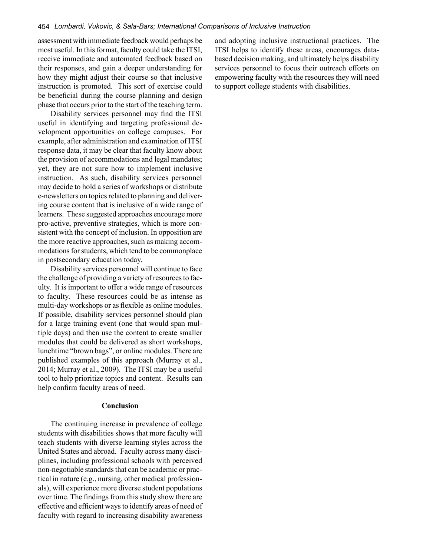assessment with immediate feedback would perhaps be most useful. In this format, faculty could take the ITSI, receive immediate and automated feedback based on their responses, and gain a deeper understanding for how they might adjust their course so that inclusive instruction is promoted. This sort of exercise could be beneficial during the course planning and design phase that occurs prior to the start of the teaching term.

Disability services personnel may find the ITSI useful in identifying and targeting professional development opportunities on college campuses. For example, after administration and examination of ITSI response data, it may be clear that faculty know about the provision of accommodations and legal mandates; yet, they are not sure how to implement inclusive instruction. As such, disability services personnel may decide to hold a series of workshops or distribute e-newsletters on topics related to planning and delivering course content that is inclusive of a wide range of learners. These suggested approaches encourage more pro-active, preventive strategies, which is more consistent with the concept of inclusion. In opposition are the more reactive approaches, such as making accommodations for students, which tend to be commonplace in postsecondary education today.

Disability services personnel will continue to face the challenge of providing a variety of resources to faculty. It is important to offer a wide range of resources to faculty. These resources could be as intense as multi-day workshops or as flexible as online modules. If possible, disability services personnel should plan for a large training event (one that would span multiple days) and then use the content to create smaller modules that could be delivered as short workshops, lunchtime "brown bags", or online modules. There are published examples of this approach (Murray et al., 2014; Murray et al., 2009). The ITSI may be a useful tool to help prioritize topics and content. Results can help confirm faculty areas of need.

#### **Conclusion**

The continuing increase in prevalence of college students with disabilities shows that more faculty will teach students with diverse learning styles across the United States and abroad. Faculty across many disciplines, including professional schools with perceived non-negotiable standards that can be academic or practical in nature (e.g., nursing, other medical professionals), will experience more diverse student populations over time. The findings from this study show there are effective and efficient ways to identify areas of need of faculty with regard to increasing disability awareness and adopting inclusive instructional practices. The ITSI helps to identify these areas, encourages databased decision making, and ultimately helps disability services personnel to focus their outreach efforts on empowering faculty with the resources they will need to support college students with disabilities.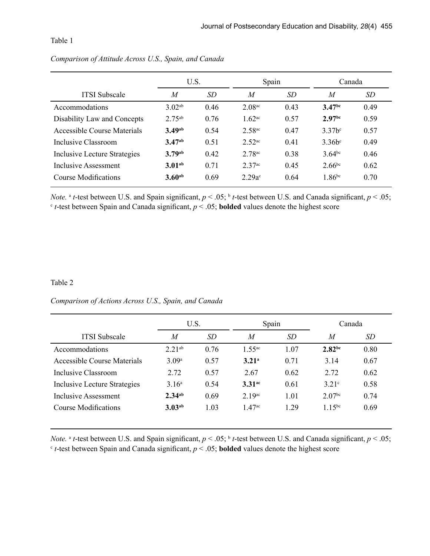#### Table 1

|                              | U.S.               |      | Spain                |           | Canada               |      |
|------------------------------|--------------------|------|----------------------|-----------|----------------------|------|
| <b>ITSI</b> Subscale         | $\boldsymbol{M}$   | SD   | $\overline{M}$       | <i>SD</i> | $\boldsymbol{M}$     | SD   |
| Accommodations               | 3.02 <sup>ab</sup> | 0.46 | $2.08$ <sub>ac</sub> | 0.43      | 3.47 <sup>bc</sup>   | 0.49 |
| Disability Law and Concepts  | $2.75^{ab}$        | 0.76 | $1.62$ <sup>ac</sup> | 0.57      | 2.97 <sub>bc</sub>   | 0.59 |
| Accessible Course Materials  | 3.49 <sup>ab</sup> | 0.54 | 2.58 <sup>ac</sup>   | 0.47      | $3.37b^c$            | 0.57 |
| Inclusive Classroom          | 3.47 <sub>ab</sub> | 0.51 | $2.52$ <sup>ac</sup> | 0.41      | $3.36b$ <sup>c</sup> | 0.49 |
| Inclusive Lecture Strategies | 3.79ab             | 0.42 | 2.78 <sup>ac</sup>   | 0.38      | $3.64^{bc}$          | 0.46 |
| Inclusive Assessment         | 3.01 <sub>ab</sub> | 0.71 | $2.37$ <sup>ac</sup> | 0.45      | $2.66^{bc}$          | 0.62 |
| Course Modifications         | $3.60^{ab}$        | 0.69 | $2.29a$ c            | 0.64      | $1.86^{bc}$          | 0.70 |

## *Comparison of Attitude Across U.S., Spain, and Canada*

*Note.* <sup>a</sup> *t*-test between U.S. and Spain significant,  $p < .05$ ; <sup>b</sup> *t*-test between U.S. and Canada significant,  $p < .05$ ;  $c$  *t*-test between Spain and Canada significant,  $p < .05$ ; **bolded** values denote the highest score

### Table 2

### *Comparison of Actions Across U.S., Spain, and Canada*

|                              | U.S.               |           | Spain                |      | Canada              |      |
|------------------------------|--------------------|-----------|----------------------|------|---------------------|------|
| <b>ITSI</b> Subscale         | $\overline{M}$     | <i>SD</i> | $\overline{M}$       | SD   | $\boldsymbol{M}$    | SD   |
| Accommodations               | $2.21^{ab}$        | 0.76      | 1.55 <sup>ac</sup>   | 1.07 | 2.82 <sup>bc</sup>  | 0.80 |
| Accessible Course Materials  | 3.09a              | 0.57      | 3.21 <sup>a</sup>    | 0.71 | 3.14                | 0.67 |
| Inclusive Classroom          | 2.72               | 0.57      | 2.67                 | 0.62 | 2.72                | 0.62 |
| Inclusive Lecture Strategies | 3.16 <sup>a</sup>  | 0.54      | $3.31$ <sup>ac</sup> | 0.61 | $3.21$ <sup>c</sup> | 0.58 |
| Inclusive Assessment         | $2.34^{ab}$        | 0.69      | $2.19$ <sup>ac</sup> | 1.01 | 2.07 <sup>bc</sup>  | 0.74 |
| <b>Course Modifications</b>  | 3.03 <sup>ab</sup> | 1.03      | 147 <sup>ac</sup>    | 1 29 | 1.15 $bc$           | 0.69 |

*Note.* <sup>a</sup> *t*-test between U.S. and Spain significant,  $p < .05$ ; <sup>b</sup> *t*-test between U.S. and Canada significant,  $p < .05$ ;  $c$  *t*-test between Spain and Canada significant,  $p < .05$ ; **bolded** values denote the highest score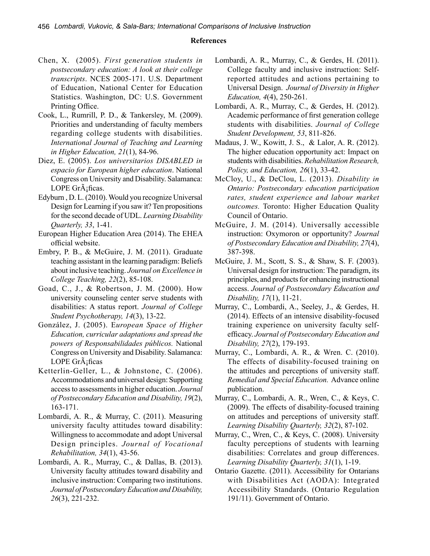#### **References**

- Chen, X. (2005). *First generation students in postsecondary education: A look at their college transcripts*. NCES 2005-171. U.S. Department of Education, National Center for Education Statistics. Washington, DC: U.S. Government Printing Office.
- Cook, L., Rumrill, P. D., & Tankersley, M. (2009). Priorities and understanding of faculty members regarding college students with disabilities. *International Journal of Teaching and Learning in Higher Education, 21*(1), 84-96.
- Diez, E. (2005). *Los universitarios DISABLED in espacio for European higher education*. National Congress on University and Disability. Salamanca: LOPE Gr $\tilde{A}$ <sub>i</sub>ficas.
- Edyburn , D. L. (2010). Would you recognize Universal Design for Learning if you saw it? Ten propositions for the second decade of UDL. *Learning Disability Quarterly, 33*, 1-41.
- European Higher Education Area (2014). The EHEA official website.
- Embry, P. B., & McGuire, J. M. (2011). Graduate teaching assistant in the learning paradigm: Beliefs about inclusive teaching. *Journal on Excellence in College Teaching, 22*(2), 85-108.
- Goad, C., J., & Robertson, J. M. (2000). How university counseling center serve students with disabilities: A status report. *Journal of College Student Psychotherapy, 14*(3), 13-22.
- González, J. (2005). E*uropean Space of Higher Education, curricular adaptations and spread the powers of Responsabilidades públicos.* National Congress on University and Disability. Salamanca: LOPE GrÃ<sub>i</sub>ficas
- Ketterlin-Geller, L., & Johnstone, C. (2006). Accommodations and universal design: Supporting access to assessments in higher education. *Journal of Postsecondary Education and Disability, 19*(2), 163-171.
- Lombardi, A. R., & Murray, C. (2011). Measuring university faculty attitudes toward disability: Willingness to accommodate and adopt Universal Design principles. *Journal of Vocational Rehabilitation, 34*(1), 43-56.
- Lombardi, A. R., Murray, C., & Dallas, B. (2013). University faculty attitudes toward disability and inclusive instruction: Comparing two institutions. *Journal of Postsecondary Education and Disability, 26*(3), 221-232.
- Lombardi, A. R., Murray, C., & Gerdes, H. (2011). College faculty and inclusive instruction: Selfreported attitudes and actions pertaining to Universal Design. *Journal of Diversity in Higher Education, 4*(4), 250-261.
- Lombardi, A. R., Murray, C., & Gerdes, H. (2012). Academic performance of first generation college students with disabilities. *Journal of College Student Development, 53*, 811-826.
- Madaus, J. W., Kowitt, J. S., & Lalor, A. R. (2012). The higher education opportunity act: Impact on students with disabilities. *Rehabilitation Research, Policy, and Education, 26*(1), 33-42.
- McCloy, U., & DeClou, L. (2013). *Disability in Ontario: Postsecondary education participation rates, student experience and labour market outcomes.* Toronto: Higher Education Quality Council of Ontario.
- McGuire, J. M. (2014). Universally accessible instruction: Oxymoron or opportunity? *Journal of Postsecondary Education and Disability, 27*(4), 387-398.
- McGuire, J. M., Scott, S. S., & Shaw, S. F. (2003). Universal design for instruction: The paradigm, its principles, and products for enhancing instructional access. *Journal of Postsecondary Education and Disability, 17*(1), 11-21.
- Murray, C., Lombardi, A., Seeley, J., & Gerdes, H. (2014). Effects of an intensive disability-focused training experience on university faculty selfefficacy. *Journal of Postsecondary Education and Disability, 27*(2), 179-193.
- Murray, C., Lombardi, A. R., & Wren. C. (2010). The effects of disability-focused training on the attitudes and perceptions of university staff. *Remedial and Special Education.* Advance online publication.
- Murray, C., Lombardi, A. R., Wren, C., & Keys, C. (2009). The effects of disability-focused training on attitudes and perceptions of university staff. *Learning Disability Quarterly, 32*(2), 87-102.
- Murray, C., Wren, C., & Keys, C. (2008). University faculty perceptions of students with learning disabilities: Correlates and group differences. *Learning Disability Quarterly, 31*(1), 1-19.
- Ontario Gazette. (2011). Accessibility for Ontarians with Disabilities Act (AODA): Integrated Accessibility Standards. (Ontario Regulation 191/11). Government of Ontario.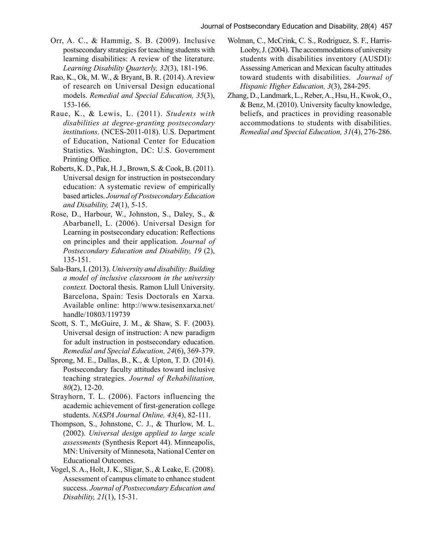- Orr, A. C., & Hammig, S. B. (2009). Inclusive postsecondary strategies for teaching students with learning disabilities: A review of the literature. *Learning Disability Quarterly, 32*(3), 181-196.
- Rao, K., Ok, M. W., & Bryant, B. R. (2014). A review of research on Universal Design educational models. *Remedial and Special Education, 35*(3), 153-166.
- Raue, K., & Lewis, L. (2011). *Students with disabilities at degree-granting postsecondary institutions*. (NCES-2011-018). U.S. Department of Education, National Center for Education Statistics. Washington, DC: U.S. Government Printing Office.
- Roberts, K. D., Pak, H. J., Brown, S. & Cook, B. (2011). Universal design for instruction in postsecondary education: A systematic review of empirically based articles. *Journal of Postsecondary Education and Disability, 24*(1), 5-15.
- Rose, D., Harbour, W., Johnston, S., Daley, S., & Abarbanell, L. (2006). Universal Design for Learning in postsecondary education: Reflections on principles and their application. *Journal of Postsecondary Education and Disability, 19* (2), 135-151.
- Sala-Bars, I. (2013). *University and disability: Building a model of inclusive classroom in the university context.* Doctoral thesis. Ramon Llull University. Barcelona, Spain: Tesis Doctorals en Xarxa. Available online: http://www.tesisenxarxa.net/ handle/10803/119739
- Scott, S. T., McGuire, J. M., & Shaw, S. F. (2003). Universal design of instruction: A new paradigm for adult instruction in postsecondary education. *Remedial and Special Education, 24*(6), 369-379.
- Sprong, M. E., Dallas, B., K., & Upton, T. D. (2014). Postsecondary faculty attitudes toward inclusive teaching strategies. *Journal of Rehabilitation, 80*(2), 12-20.
- Strayhorn, T. L. (2006). Factors influencing the academic achievement of first-generation college students. *NASPA Journal Online, 43*(4), 82-111.
- Thompson, S., Johnstone, C. J., & Thurlow, M. L. (2002). *Universal design applied to large scale assessments* (Synthesis Report 44). Minneapolis, MN: University of Minnesota, National Center on Educational Outcomes.
- Vogel, S. A., Holt, J. K., Sligar, S., & Leake, E. (2008). Assessment of campus climate to enhance student success. *Journal of Postsecondary Education and Disability, 21*(1), 15-31.
- Wolman, C., McCrink, C. S., Rodriguez, S. F., Harris-Looby, J. (2004). The accommodations of university students with disabilities inventory (AUSDI): Assessing American and Mexican faculty attitudes toward students with disabilities. *Journal of Hispanic Higher Education, 3*(3), 284-295.
- Zhang, D., Landmark, L., Reber, A., Hsu, H., Kwok, O., & Benz, M. (2010). University faculty knowledge, beliefs, and practices in providing reasonable accommodations to students with disabilities. *Remedial and Special Education, 31*(4), 276-286.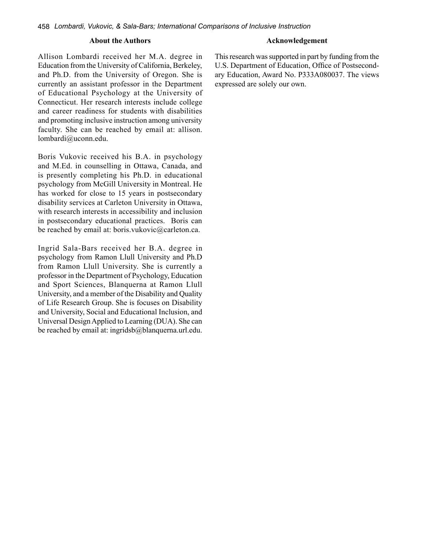#### **About the Authors Acknowledgement**

Allison Lombardi received her M.A. degree in Education from the University of California, Berkeley, and Ph.D. from the University of Oregon. She is currently an assistant professor in the Department of Educational Psychology at the University of Connecticut. Her research interests include college and career readiness for students with disabilities and promoting inclusive instruction among university faculty. She can be reached by email at: allison. lombardi@uconn.edu.

Boris Vukovic received his B.A. in psychology and M.Ed. in counselling in Ottawa, Canada, and is presently completing his Ph.D. in educational psychology from McGill University in Montreal. He has worked for close to 15 years in postsecondary disability services at Carleton University in Ottawa, with research interests in accessibility and inclusion in postsecondary educational practices. Boris can be reached by email at: boris.vukovic@carleton.ca.

Ingrid Sala-Bars received her B.A. degree in psychology from Ramon Llull University and Ph.D from Ramon Llull University. She is currently a professor in the Department of Psychology, Education and Sport Sciences, Blanquerna at Ramon Llull University, and a member of the Disability and Quality of Life Research Group. She is focuses on Disability and University, Social and Educational Inclusion, and Universal Design Applied to Learning (DUA). She can be reached by email at: ingridsb@blanquerna.url.edu. This research was supported in part by funding from the U.S. Department of Education, Office of Postsecondary Education, Award No. P333A080037. The views expressed are solely our own.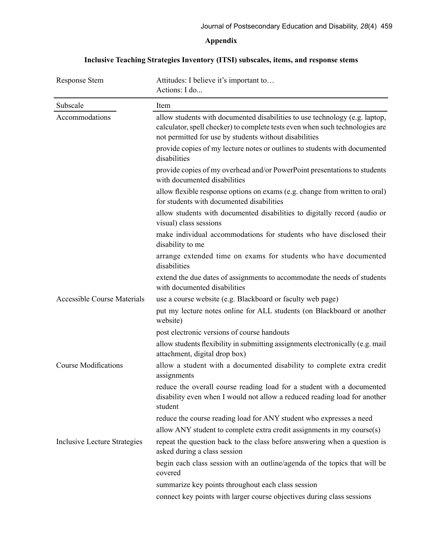## **Appendix**

## **Inclusive Teaching Strategies Inventory (ITSI) subscales, items, and response stems**

| <b>Response Stem</b>                | Attitudes: I believe it's important to<br>Actions: I do                                                                                                                                                               |  |
|-------------------------------------|-----------------------------------------------------------------------------------------------------------------------------------------------------------------------------------------------------------------------|--|
| Subscale                            | Item                                                                                                                                                                                                                  |  |
| Accommodations                      | allow students with documented disabilities to use technology (e.g. laptop,<br>calculator, spell checker) to complete tests even when such technologies are<br>not permitted for use by students without disabilities |  |
|                                     | provide copies of my lecture notes or outlines to students with documented<br>disabilities                                                                                                                            |  |
|                                     | provide copies of my overhead and/or PowerPoint presentations to students<br>with documented disabilities                                                                                                             |  |
|                                     | allow flexible response options on exams (e.g. change from written to oral)<br>for students with documented disabilities                                                                                              |  |
|                                     | allow students with documented disabilities to digitally record (audio or<br>visual) class sessions                                                                                                                   |  |
|                                     | make individual accommodations for students who have disclosed their<br>disability to me                                                                                                                              |  |
|                                     | arrange extended time on exams for students who have documented<br>disabilities                                                                                                                                       |  |
|                                     | extend the due dates of assignments to accommodate the needs of students<br>with documented disabilities                                                                                                              |  |
| <b>Accessible Course Materials</b>  | use a course website (e.g. Blackboard or faculty web page)                                                                                                                                                            |  |
|                                     | put my lecture notes online for ALL students (on Blackboard or another<br>website)                                                                                                                                    |  |
|                                     | post electronic versions of course handouts                                                                                                                                                                           |  |
|                                     | allow students flexibility in submitting assignments electronically (e.g. mail<br>attachment, digital drop box)                                                                                                       |  |
| <b>Course Modifications</b>         | allow a student with a documented disability to complete extra credit<br>assignments                                                                                                                                  |  |
|                                     | reduce the overall course reading load for a student with a documented<br>disability even when I would not allow a reduced reading load for another<br>student                                                        |  |
|                                     | reduce the course reading load for ANY student who expresses a need                                                                                                                                                   |  |
|                                     | allow ANY student to complete extra credit assignments in my course(s)                                                                                                                                                |  |
| <b>Inclusive Lecture Strategies</b> | repeat the question back to the class before answering when a question is<br>asked during a class session                                                                                                             |  |
|                                     | begin each class session with an outline/agenda of the topics that will be<br>covered                                                                                                                                 |  |
|                                     | summarize key points throughout each class session                                                                                                                                                                    |  |
|                                     | connect key points with larger course objectives during class sessions                                                                                                                                                |  |